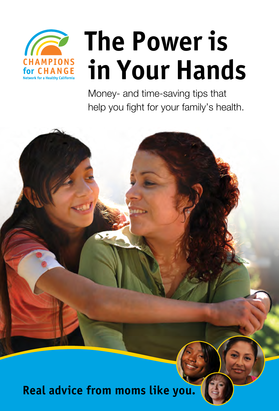

# **The Power is in Your Hands**

Money- and time-saving tips that help you fight for your family's health.



**Real advice from moms like you.**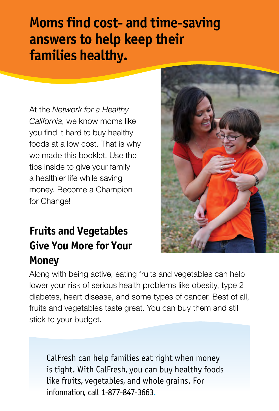### **Moms find cost- and time-saving answers to help keep their families healthy.**

At the *Network for a Healthy California*, we know moms like you find it hard to buy healthy foods at a low cost. That is why we made this booklet. Use the tips inside to give your family a healthier life while saving money. Become a Champion for Change!

### **Fruits and Vegetables Give You More for Your Money**



CalFresh can help families eat right when money is tight. With CalFresh, you can buy healthy foods like fruits, vegetables, and whole grains. For information, call 1-877-847-3663.

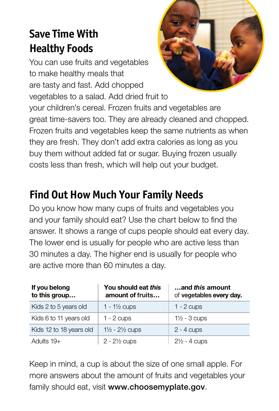### **Save Time With Healthy Foods**

You can use fruits and vegetables to make healthy meals that are tasty and fast. Add chopped vegetables to a salad. Add dried fruit to your children's cereal. Frozen fruits and vegetables are great time-savers too. They are already cleaned and chopped. Frozen fruits and vegetables keep the same nutrients as when they are fresh. They don't add extra calories as long as you buy them without added fat or sugar. Buying frozen usually costs less than fresh, which will help out your budget.

### **Find Out How Much Your Family Needs**

Do you know how many cups of fruits and vegetables you and your family should eat? Use the chart below to find the answer. It shows a range of cups people should eat every day. The lower end is usually for people who are active less than 30 minutes a day. The higher end is usually for people who are active more than 60 minutes a day.

| If you belong<br>to this group | You should eat this<br>amount of fruits | and this amount<br>of vegetables every day. |
|--------------------------------|-----------------------------------------|---------------------------------------------|
| Kids 2 to 5 years old          | 1 - $1\frac{1}{2}$ cups                 | $1 - 2$ cups                                |
| Kids 6 to 11 years old         | $1 - 2$ cups                            | $1\frac{1}{2}$ - 3 cups                     |
| Kids 12 to 18 years old        | $1\frac{1}{2}$ - $2\frac{1}{2}$ cups    | $2 - 4$ cups                                |
| Adults $19+$                   | $2 - 2\frac{1}{2}$ cups                 | $2\frac{1}{2}$ - 4 cups                     |

Keep in mind, a cup is about the size of one small apple. For more answers about the amount of fruits and vegetables your family should eat, visit www.choosemyplate.gov.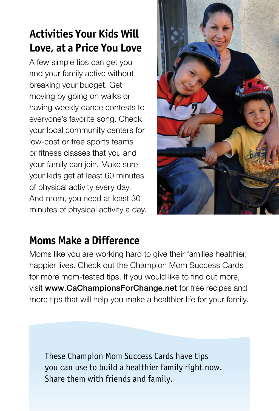### **Activities Your Kids Will Love, at a Price You Love**

A few simple tips can get you and your family active without breaking your budget. Get moving by going on walks or having weekly dance contests to everyone's favorite song. Check your local community centers for low-cost or free sports teams or fitness classes that you and your family can join. Make sure your kids get at least 60 minutes of physical activity every day. And mom, you need at least 30 minutes of physical activity a day.



### **Moms Make a Difference**

Moms like you are working hard to give their families healthier, happier lives. Check out the Champion Mom Success Cards for more mom-tested tips. If you would like to find out more, visit www.CaChampionsForChange.net for free recipes and more tips that will help you make a healthier life for your family.

These Champion Mom Success Cards have tips you can use to build a healthier family right now. Share them with friends and family.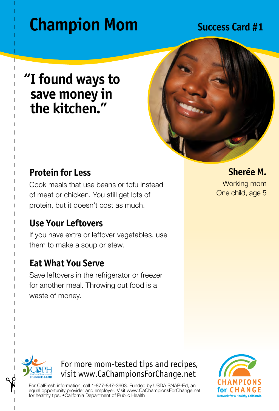### **"I found ways to save money in the kitchen."**



### **Protein for Less**

Cook meals that use beans or tofu instead of meat or chicken. You still get lots of protein, but it doesn't cost as much.

### **Use Your Leftovers**

If you have extra or leftover vegetables, use them to make a soup or stew.

### **Eat What You Serve**

Save leftovers in the refrigerator or freezer for another meal. Throwing out food is a waste of money.

**Sherée M.** Working mom One child, age 5



### For more mom-tested tips and recipes, visit www.CaChampionsForChange.net

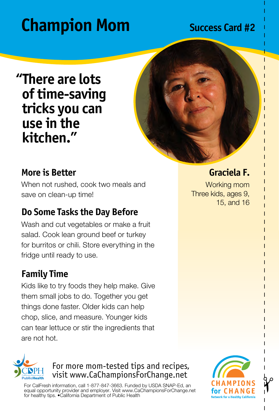**"There are lots of time-saving tricks you can use in the kitchen."**



### **More is Better**

When not rushed, cook two meals and save on clean-up time!

### **Do Some Tasks the Day Before**

Wash and cut vegetables or make a fruit salad. Cook lean ground beef or turkey for burritos or chili. Store everything in the fridge until ready to use.

### **Family Time**

Kids like to try foods they help make. Give them small jobs to do. Together you get things done faster. Older kids can help chop, slice, and measure. Younger kids can tear lettuce or stir the ingredients that are not hot.

# ıhlicHaalth

For more mom-tested tips and recipes, visit www.CaChampionsForChange.net

For CalFresh information, call 1-877-847-3663. Funded by USDA SNAP-Ed, an equal opportunity provider and employer. Visit www.CaChampionsForChange.net for healthy tips. •California Department of Public Health



### **Graciela F.**

Working mom Three kids, ages 9, 15, and 16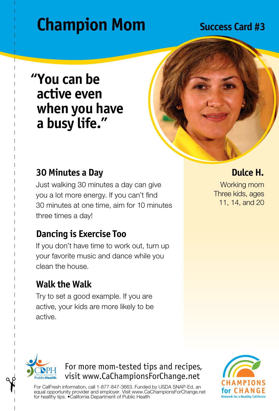### **"You can be active even when you have a busy life."**



### **30 Minutes a Day**

Just walking 30 minutes a day can give you a lot more energy. If you can't find 30 minutes at one time, aim for 10 minutes three times a day!

### **Dancing is Exercise Too**

If you don't have time to work out, turn up your favorite music and dance while you clean the house.

### **Walk the Walk**

Try to set a good example. If you are active, your kids are more likely to be active.

**Dulce H.**

Working mom Three kids, ages 11, 14, and 20



### For more mom-tested tips and recipes, visit www.CaChampionsForChange.net

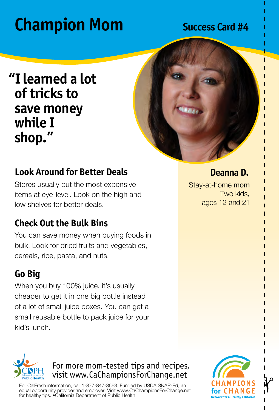### **"I learned a lot of tricks to save money while I shop."**



### **Look Around for Better Deals**

Stores usually put the most expensive items at eye-level. Look on the high and low shelves for better deals.

### **Check Out the Bulk Bins**

You can save money when buying foods in bulk. Look for dried fruits and vegetables, cereals, rice, pasta, and nuts.

### **Go Big**

When you buy 100% juice, it's usually cheaper to get it in one big bottle instead of a lot of small juice boxes. You can get a small reusable bottle to pack juice for your kid's lunch.

### **Deanna D.**

Stay-at-home mom Two kids, ages 12 and 21



For more mom-tested tips and recipes, visit www.CaChampionsForChange.net

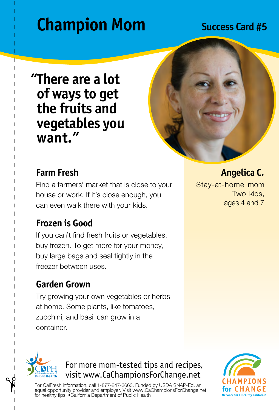### **"There are a lot of ways to get the fruits and vegetables you want."**



### **Farm Fresh**

Find a farmers' market that is close to your house or work. If it's close enough, you can even walk there with your kids.

### **Frozen is Good**

If you can't find fresh fruits or vegetables, buy frozen. To get more for your money, buy large bags and seal tightly in the freezer between uses.

### **Garden Grown**

Try growing your own vegetables or herbs at home. Some plants, like tomatoes, zucchini, and basil can grow in a container.

**Angelica C.** Stay-at-home mom Two kids, ages 4 and 7



For more mom-tested tips and recipes, visit www.CaChampionsForChange.net

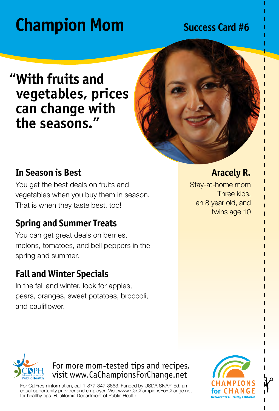### **"With fruits and vegetables, prices can change with the seasons."**



### **In Season is Best**

You get the best deals on fruits and vegetables when you buy them in season. That is when they taste best, too!

### **Spring and Summer Treats**

You can get great deals on berries, melons, tomatoes, and bell peppers in the spring and summer.

### **Fall and Winter Specials**

In the fall and winter, look for apples, pears, oranges, sweet potatoes, broccoli, and cauliflower.

### **Aracely R.**

Stay-at-home mom Three kids, an 8 year old, and twins age 10



### For more mom-tested tips and recipes, visit www.CaChampionsForChange.net

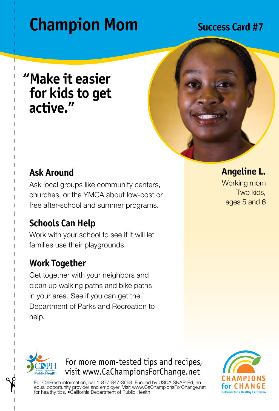### **"Make it easier for kids to get active."**



### **Ask Around**

Ask local groups like community centers, churches, or the YMCA about low-cost or free after-school and summer programs.

### **Schools Can Help**

Work with your school to see if it will let families use their playgrounds.

### **Work Together**

Get together with your neighbors and clean up walking paths and bike paths in your area. See if you can get the Department of Parks and Recreation to help.

**Angeline L.**

Working mom Two kids, ages 5 and 6



For more mom-tested tips and recipes, visit www.CaChampionsForChange.net

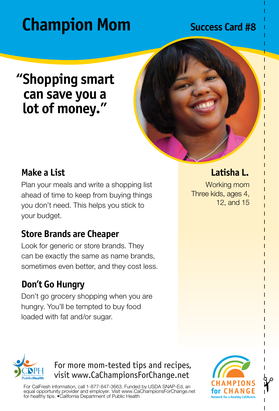### **"Shopping smart can save you a lot of money."**



### **Make a List**

Plan your meals and write a shopping list ahead of time to keep from buying things you don't need. This helps you stick to your budget.

### **Store Brands are Cheaper**

Look for generic or store brands. They can be exactly the same as name brands, sometimes even better, and they cost less.

### **Don't Go Hungry**

Don't go grocery shopping when you are hungry. You'll be tempted to buy food loaded with fat and/or sugar.

### **Latisha L.**

Working mom Three kids, ages 4, 12, and 15



### For more mom-tested tips and recipes, visit www.CaChampionsForChange.net

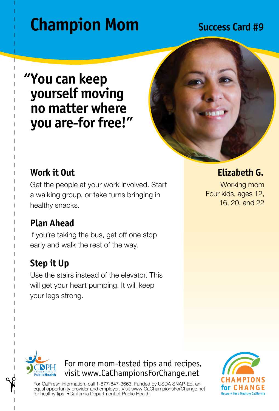### **"You can keep yourself moving no matter where you are-for free!"**



### **Work it Out**

Get the people at your work involved. Start a walking group, or take turns bringing in healthy snacks.

### **Plan Ahead**

If you're taking the bus, get off one stop early and walk the rest of the way.

### **Step it Up**

Use the stairs instead of the elevator. This will get your heart pumping. It will keep your legs strong.

**Elizabeth G.**

Working mom Four kids, ages 12, 16, 20, and 22



For more mom-tested tips and recipes, visit www.CaChampionsForChange.net

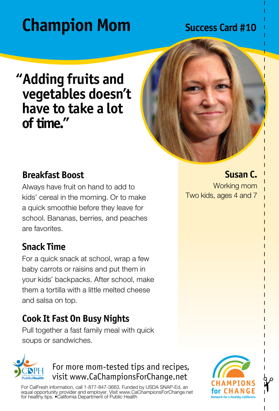### **"Adding fruits and vegetables doesn't have to take a lot of time."**



### **Breakfast Boost**

Always have fruit on hand to add to kids' cereal in the morning. Or to make a quick smoothie before they leave for school. Bananas, berries, and peaches are favorites.

### **Snack Time**

uhlicHoalth

For a quick snack at school, wrap a few baby carrots or raisins and put them in your kids' backpacks. After school, make them a tortilla with a little melted cheese and salsa on top.

### **Cook It Fast On Busy Nights**

Pull together a fast family meal with quick soups or sandwiches.

### For more mom-tested tips and recipes, visit www.CaChampionsForChange.net

For CalFresh information, call 1-877-847-3663. Funded by USDA SNAP-Ed, an equal opportunity provider and employer. Visit www.CaChampionsForChange.net for healthy tips. •California Department of Public Health **Susan C.**

Working mom Two kids, ages 4 and 7

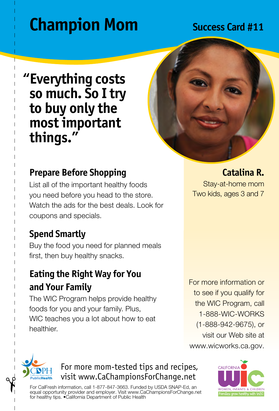### **"Everything costs so much. So I try to buy only the most important things."**



### **Prepare Before Shopping**

List all of the important healthy foods you need before you head to the store. Watch the ads for the best deals. Look for coupons and specials.

### **Spend Smartly**

Buy the food you need for planned meals first, then buy healthy snacks.

### **Eating the Right Way for You and Your Family**

The WIC Program helps provide healthy foods for you and your family. Plus, WIC teaches you a lot about how to eat healthier.

**Catalina R.** Stay-at-home mom Two kids, ages 3 and 7

For more information or to see if you qualify for the WIC Program, call 1-888-WIC-WORKS (1-888-942-9675), or visit our Web site at www.wicworks.ca.gov.



### For more mom-tested tips and recipes, visit www.CaChampionsForChange.net